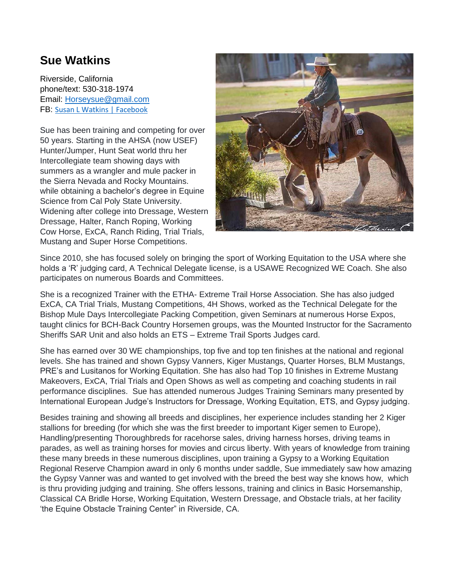## **Sue Watkins**

Riverside, California phone/text: 530-318-1974 Email: [Horseysue@gmail.com](mailto:Horseysue@gmail.com) FB: [Susan L Watkins | Facebook](https://www.facebook.com/susan.l.watkins)

Sue has been training and competing for over 50 years. Starting in the AHSA (now USEF) Hunter/Jumper, Hunt Seat world thru her Intercollegiate team showing days with summers as a wrangler and mule packer in the Sierra Nevada and Rocky Mountains. while obtaining a bachelor's degree in Equine Science from Cal Poly State University. Widening after college into Dressage, Western Dressage, Halter, Ranch Roping, Working Cow Horse, ExCA, Ranch Riding, Trial Trials, Mustang and Super Horse Competitions.



Since 2010, she has focused solely on bringing the sport of Working Equitation to the USA where she holds a 'R' judging card, A Technical Delegate license, is a USAWE Recognized WE Coach. She also participates on numerous Boards and Committees.

She is a recognized Trainer with the ETHA- Extreme Trail Horse Association. She has also judged ExCA, CA Trial Trials, Mustang Competitions, 4H Shows, worked as the Technical Delegate for the Bishop Mule Days Intercollegiate Packing Competition, given Seminars at numerous Horse Expos, taught clinics for BCH-Back Country Horsemen groups, was the Mounted Instructor for the Sacramento Sheriffs SAR Unit and also holds an ETS – Extreme Trail Sports Judges card.

She has earned over 30 WE championships, top five and top ten finishes at the national and regional levels. She has trained and shown Gypsy Vanners, Kiger Mustangs, Quarter Horses, BLM Mustangs, PRE's and Lusitanos for Working Equitation. She has also had Top 10 finishes in Extreme Mustang Makeovers, ExCA, Trial Trials and Open Shows as well as competing and coaching students in rail performance disciplines. Sue has attended numerous Judges Training Seminars many presented by International European Judge's Instructors for Dressage, Working Equitation, ETS, and Gypsy judging.

Besides training and showing all breeds and disciplines, her experience includes standing her 2 Kiger stallions for breeding (for which she was the first breeder to important Kiger semen to Europe), Handling/presenting Thoroughbreds for racehorse sales, driving harness horses, driving teams in parades, as well as training horses for movies and circus liberty. With years of knowledge from training these many breeds in these numerous disciplines, upon training a Gypsy to a Working Equitation Regional Reserve Champion award in only 6 months under saddle, Sue immediately saw how amazing the Gypsy Vanner was and wanted to get involved with the breed the best way she knows how, which is thru providing judging and training. She offers lessons, training and clinics in Basic Horsemanship, Classical CA Bridle Horse, Working Equitation, Western Dressage, and Obstacle trials, at her facility 'the Equine Obstacle Training Center" in Riverside, CA.